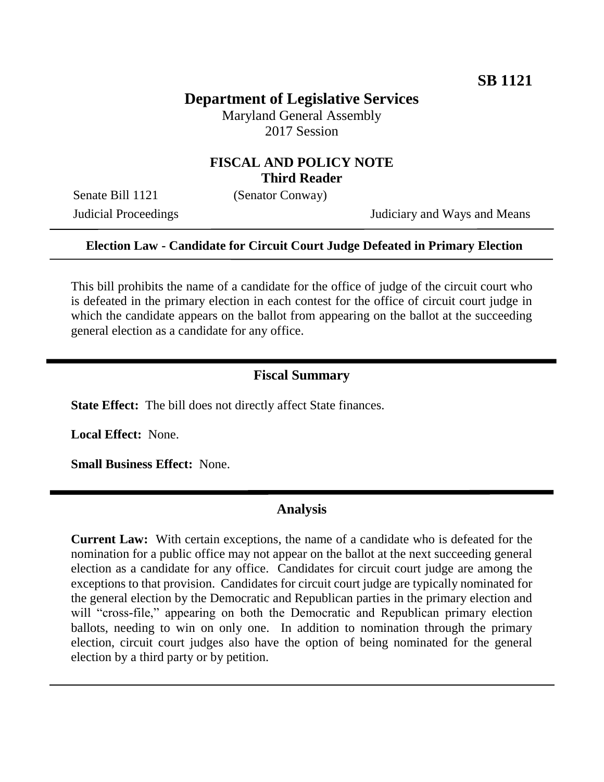# **Department of Legislative Services**

Maryland General Assembly 2017 Session

### **FISCAL AND POLICY NOTE Third Reader**

Senate Bill 1121 (Senator Conway)

Judicial Proceedings Judiciary and Ways and Means

#### **Election Law - Candidate for Circuit Court Judge Defeated in Primary Election**

This bill prohibits the name of a candidate for the office of judge of the circuit court who is defeated in the primary election in each contest for the office of circuit court judge in which the candidate appears on the ballot from appearing on the ballot at the succeeding general election as a candidate for any office.

#### **Fiscal Summary**

**State Effect:** The bill does not directly affect State finances.

**Local Effect:** None.

**Small Business Effect:** None.

#### **Analysis**

**Current Law:** With certain exceptions, the name of a candidate who is defeated for the nomination for a public office may not appear on the ballot at the next succeeding general election as a candidate for any office. Candidates for circuit court judge are among the exceptions to that provision. Candidates for circuit court judge are typically nominated for the general election by the Democratic and Republican parties in the primary election and will "cross-file," appearing on both the Democratic and Republican primary election ballots, needing to win on only one. In addition to nomination through the primary election, circuit court judges also have the option of being nominated for the general election by a third party or by petition.